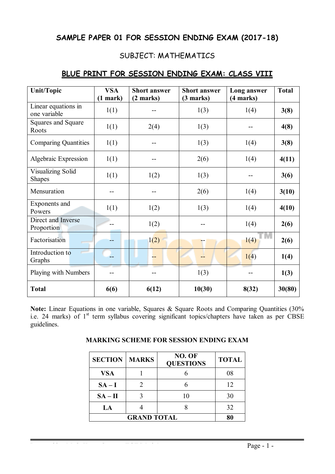# **SAMPLE PAPER 01 FOR SESSION ENDING EXAM (2017-18)**

# SUBJECT: MATHEMATICS

| <b>Unit/Topic</b>                         | <b>VSA</b><br>$(1$ mark) | <b>Short answer</b><br>(2 marks) | <b>Short answer</b><br>(3 marks) | Long answer<br>(4 marks) | <b>Total</b> |
|-------------------------------------------|--------------------------|----------------------------------|----------------------------------|--------------------------|--------------|
| Linear equations in<br>one variable       | 1(1)                     |                                  | 1(3)                             | 1(4)                     | 3(8)         |
| Squares and Square<br>Roots               | 1(1)                     | 2(4)                             | 1(3)                             |                          | 4(8)         |
| <b>Comparing Quantities</b>               | 1(1)                     |                                  | 1(3)                             | 1(4)                     | 3(8)         |
| Algebraic Expression                      | 1(1)                     |                                  | 2(6)                             | 1(4)                     | 4(11)        |
| <b>Visualizing Solid</b><br><b>Shapes</b> | 1(1)                     | 1(2)                             | 1(3)                             |                          | 3(6)         |
| Mensuration                               |                          |                                  | 2(6)                             | 1(4)                     | 3(10)        |
| Exponents and<br>Powers                   | 1(1)                     | 1(2)                             | 1(3)                             | 1(4)                     | 4(10)        |
| Direct and Inverse<br>Proportion          |                          | 1(2)                             |                                  | 1(4)                     | 2(6)         |
| Factorisation                             |                          | 1(2)                             |                                  | 1(4)                     | 2(6)         |
| Introduction to<br>Graphs                 |                          |                                  |                                  | 1(4)                     | 1(4)         |
| Playing with Numbers                      |                          |                                  | 1(3)                             |                          | 1(3)         |
| <b>Total</b>                              | 6(6)                     | 6(12)                            | 10(30)                           | 8(32)                    | 30(80)       |

## **BLUE PRINT FOR SESSION ENDING EXAM: CLASS VIII**

Note: Linear Equations in one variable, Squares & Square Roots and Comparing Quantities (30%) i.e. 24 marks) of 1<sup>st</sup> term syllabus covering significant topics/chapters have taken as per CBSE guidelines.

| <b>SECTION</b> | <b>MARKS</b> | NO. OF<br><b>QUESTIONS</b> | <b>TOTAL</b> |
|----------------|--------------|----------------------------|--------------|
| <b>VSA</b>     |              |                            | 08           |
| $SA-I$         |              |                            | 12           |
| $SA - II$      |              | 10                         | 30           |
| LA             |              |                            | 32           |
|                | 80           |                            |              |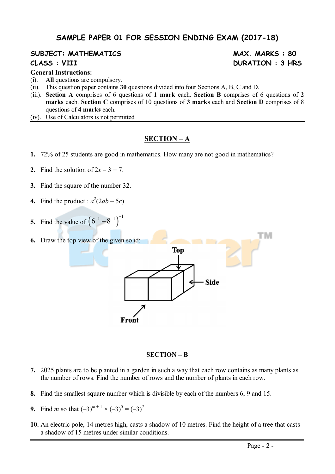# **SAMPLE PAPER 01 FOR SESSION ENDING EXAM (2017-18)**

# **SUBJECT: MATHEMATICS MAX. MARKS : 80**

#### **General Instructions:**

- (i). **All** questions are compulsory.
- (ii). This question paper contains **30** questions divided into four Sections A, B, C and D.
- (iii). **Section A** comprises of 6 questions of **1 mark** each. **Section B** comprises of 6 questions of **2 marks** each. **Section C** comprises of 10 questions of **3 marks** each and **Section D** comprises of 8 questions of **4 marks** each.
- (iv). Use of Calculators is not permitted

#### **SECTION – A**

- **1.** 72% of 25 students are good in mathematics. How many are not good in mathematics?
- **2.** Find the solution of  $2x 3 = 7$ .
- **3.** Find the square of the number 32.
- **4.** Find the product :  $a^2(2ab 5c)$
- **5.** Find the value of  $(6^{-1} 8^{-1})^{-1}$
- тм **6.** Draw the top view of the given solid: **Top Side** Front

#### **SECTION – B**

- **7.** 2025 plants are to be planted in a garden in such a way that each row contains as many plants as the number of rows. Find the number of rows and the number of plants in each row.
- **8.** Find the smallest square number which is divisible by each of the numbers 6, 9 and 15.
- **9.** Find *m* so that  $(-3)^{m+1} \times (-3)^5 = (-3)^7$
- **10.** An electric pole, 14 metres high, casts a shadow of 10 metres. Find the height of a tree that casts a shadow of 15 metres under similar conditions.

# **CLASS : VIII DURATION : 3 HRS**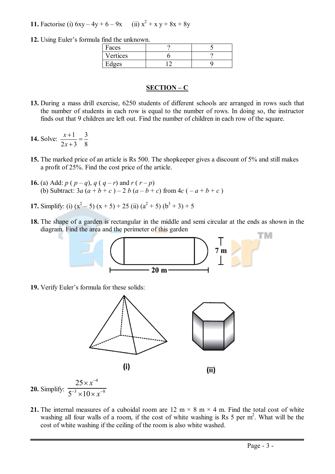**11.** Factorise (i)  $6xy - 4y + 6 - 9x$  (ii)  $x^2 + x y + 8x + 8y$ 

**12.** Using Euler's formula find the unknown.

| Faces    |  |
|----------|--|
| Vertices |  |
| dges     |  |

#### **SECTION – C**

**13.** During a mass drill exercise, 6250 students of different schools are arranged in rows such that the number of students in each row is equal to the number of rows. In doing so, the instructor finds out that 9 children are left out. Find the number of children in each row of the square.

**14.** Solve:  $\frac{x+1}{2} = \frac{3}{2}$  $2x+3$  8 *x x*  $\frac{+1}{\sqrt{2}}$  =  $\ddot{}$ 

- **15.** The marked price of an article is Rs 500. The shopkeeper gives a discount of 5% and still makes a profit of 25%. Find the cost price of the article.
- **16.** (a) Add: *p* ( $p q$ ),  $q(q r)$  and  $r(r p)$ (b) Subtract:  $3a (a + b + c) - 2 b (a - b + c)$  from  $4c (-a + b + c)$
- **17.** Simplify: (i)  $(x^2 5) (x + 5) + 25$  (ii)  $(a^2 + 5) (b^3 + 3) + 5$
- **18.** The shape of a garden is rectangular in the middle and semi circular at the ends as shown in the diagram. Find the area and the perimeter of this garden



**19.** Verify Euler's formula for these solids:



**20.** Simplify:  $3 \times 10 \times x^{-8}$  $5^{-3} \times 10$ *x*  $-3 \times 10 \times x^{-8}$  $\times$ 10 $\times$   $\times$ 

**21.** The internal measures of a cuboidal room are 12 m  $\times$  8 m  $\times$  4 m. Find the total cost of white washing all four walls of a room, if the cost of white washing is Rs 5 per  $m^2$ . What will be the cost of white washing if the ceiling of the room is also white washed.